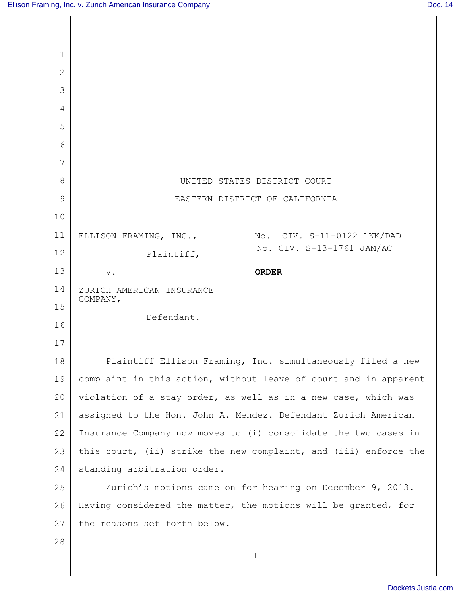| $\mathbf{1}$   |                                |                                                                  |
|----------------|--------------------------------|------------------------------------------------------------------|
| $\overline{2}$ |                                |                                                                  |
| 3              |                                |                                                                  |
| $\overline{4}$ |                                |                                                                  |
| 5              |                                |                                                                  |
| 6              |                                |                                                                  |
| 7              |                                |                                                                  |
| 8              | UNITED STATES DISTRICT COURT   |                                                                  |
| 9              | EASTERN DISTRICT OF CALIFORNIA |                                                                  |
| 10             |                                |                                                                  |
| 11             | ELLISON FRAMING, INC.,         | No. CIV. S-11-0122 LKK/DAD                                       |
| 12             | Plaintiff,                     | No. CIV. S-13-1761 JAM/AC                                        |
| 13             | $V$ .                          | <b>ORDER</b>                                                     |
| 14             | ZURICH AMERICAN INSURANCE      |                                                                  |
| 15             | COMPANY,                       |                                                                  |
| 16             | Defendant.                     |                                                                  |
| 17             |                                |                                                                  |
| 18             |                                | Plaintiff Ellison Framing, Inc. simultaneously filed a new       |
| 19             |                                | complaint in this action, without leave of court and in apparent |
| 20             |                                | violation of a stay order, as well as in a new case, which was   |
| 21             |                                | assigned to the Hon. John A. Mendez. Defendant Zurich American   |
| 22             |                                | Insurance Company now moves to (i) consolidate the two cases in  |
| 23             |                                | this court, (ii) strike the new complaint, and (iii) enforce the |
| 24             | standing arbitration order.    |                                                                  |
| 25             |                                | Zurich's motions came on for hearing on December 9, 2013.        |
| 26             |                                | Having considered the matter, the motions will be granted, for   |
| 27             | the reasons set forth below.   |                                                                  |
| 28             |                                |                                                                  |
|                |                                | $\mathbf 1$                                                      |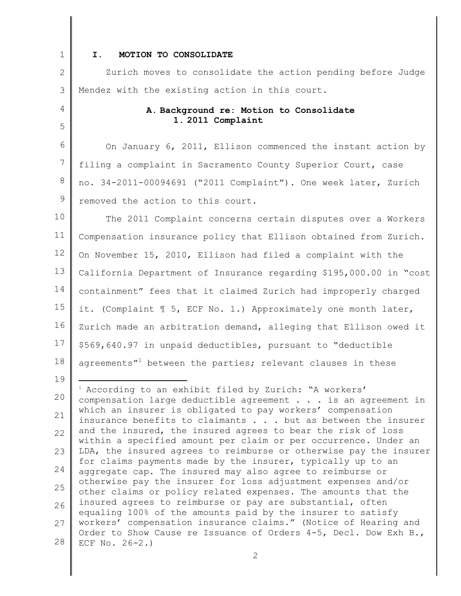1

4

5

19

## **I. MOTION TO CONSOLIDATE**

2 3 Zurich moves to consolidate the action pending before Judge Mendez with the existing action in this court.

> **A. Background re: Motion to Consolidate 1. 2011 Complaint**

6 7 8 9 On January 6, 2011, Ellison commenced the instant action by filing a complaint in Sacramento County Superior Court, case no. 34-2011-00094691 ("2011 Complaint"). One week later, Zurich removed the action to this court.

10 11 12 13 14 15 16 17 18 The 2011 Complaint concerns certain disputes over a Workers Compensation insurance policy that Ellison obtained from Zurich. On November 15, 2010, Ellison had filed a complaint with the California Department of Insurance regarding \$195,000.00 in "cost containment" fees that it claimed Zurich had improperly charged it. (Complaint ¶ 5, ECF No. 1.) Approximately one month later, Zurich made an arbitration demand, alleging that Ellison owed it \$569,640.97 in unpaid deductibles, pursuant to "deductible agreements"<sup>1</sup> between the parties; relevant clauses in these

20 21 22 23 24 25 26 27 28 <sup>1</sup> According to an exhibit filed by Zurich: "A workers' compensation large deductible agreement . . . is an agreement in which an insurer is obligated to pay workers' compensation insurance benefits to claimants . . . but as between the insurer and the insured, the insured agrees to bear the risk of loss within a specified amount per claim or per occurrence. Under an LDA, the insured agrees to reimburse or otherwise pay the insurer for claims payments made by the insurer, typically up to an aggregate cap. The insured may also agree to reimburse or otherwise pay the insurer for loss adjustment expenses and/or other claims or policy related expenses. The amounts that the insured agrees to reimburse or pay are substantial, often equaling 100% of the amounts paid by the insurer to satisfy workers' compensation insurance claims." (Notice of Hearing and Order to Show Cause re Issuance of Orders 4-5, Decl. Dow Exh B., ECF No. 26-2.)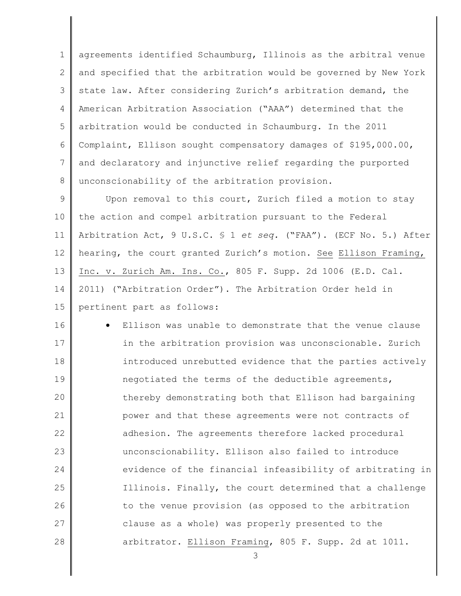1 2 3 4 5 6 7 8 agreements identified Schaumburg, Illinois as the arbitral venue and specified that the arbitration would be governed by New York state law. After considering Zurich's arbitration demand, the American Arbitration Association ("AAA") determined that the arbitration would be conducted in Schaumburg. In the 2011 Complaint, Ellison sought compensatory damages of \$195,000.00, and declaratory and injunctive relief regarding the purported unconscionability of the arbitration provision.

9 10 11 12 13 14 15 Upon removal to this court, Zurich filed a motion to stay the action and compel arbitration pursuant to the Federal Arbitration Act, 9 U.S.C. § 1 *et seq.* ("FAA"). (ECF No. 5.) After hearing, the court granted Zurich's motion. See Ellison Framing, Inc. v. Zurich Am. Ins. Co., 805 F. Supp. 2d 1006 (E.D. Cal. 2011) ("Arbitration Order"). The Arbitration Order held in pertinent part as follows:

16 17 18 19 20 21 22 23 24 25 26 27 28 Ellison was unable to demonstrate that the venue clause in the arbitration provision was unconscionable. Zurich introduced unrebutted evidence that the parties actively negotiated the terms of the deductible agreements, thereby demonstrating both that Ellison had bargaining power and that these agreements were not contracts of adhesion. The agreements therefore lacked procedural unconscionability. Ellison also failed to introduce evidence of the financial infeasibility of arbitrating in Illinois. Finally, the court determined that a challenge to the venue provision (as opposed to the arbitration clause as a whole) was properly presented to the arbitrator. Ellison Framing, 805 F. Supp. 2d at 1011.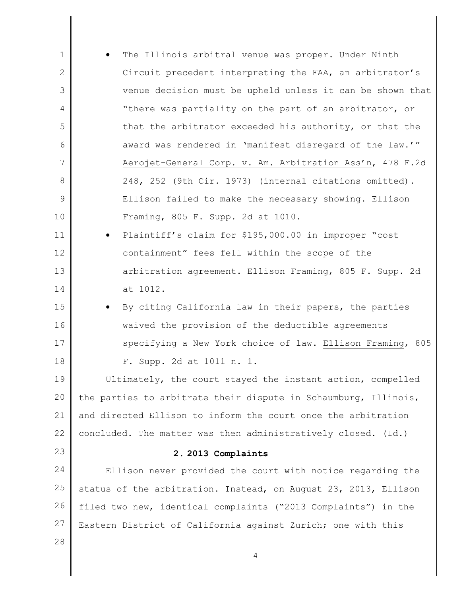| $\mathbf 1$ | The Illinois arbitral venue was proper. Under Ninth             |
|-------------|-----------------------------------------------------------------|
| 2           | Circuit precedent interpreting the FAA, an arbitrator's         |
| 3           | venue decision must be upheld unless it can be shown that       |
| 4           | "there was partiality on the part of an arbitrator, or          |
| 5           | that the arbitrator exceeded his authority, or that the         |
| 6           | award was rendered in 'manifest disregard of the law.'"         |
| 7           | Aerojet-General Corp. v. Am. Arbitration Ass'n, 478 F.2d        |
| 8           | 248, 252 (9th Cir. 1973) (internal citations omitted).          |
| 9           | Ellison failed to make the necessary showing. Ellison           |
| 10          | Framing, 805 F. Supp. 2d at 1010.                               |
| 11          | Plaintiff's claim for \$195,000.00 in improper "cost            |
| 12          | containment" fees fell within the scope of the                  |
| 13          | arbitration agreement. Ellison Framing, 805 F. Supp. 2d         |
| 14          | at 1012.                                                        |
| 15          | By citing California law in their papers, the parties           |
| 16          | waived the provision of the deductible agreements               |
| 17          | specifying a New York choice of law. Ellison Framing, 805       |
| 18          | F. Supp. 2d at 1011 n. 1.                                       |
| 19          | Ultimately, the court stayed the instant action, compelled      |
| 20          | the parties to arbitrate their dispute in Schaumburg, Illinois, |
| 21          | and directed Ellison to inform the court once the arbitration   |
| 22          | concluded. The matter was then administratively closed. (Id.)   |
| 23          | 2.2013 Complaints                                               |
| 24          | Ellison never provided the court with notice regarding the      |
| 25          | status of the arbitration. Instead, on August 23, 2013, Ellison |
| 26          | filed two new, identical complaints ("2013 Complaints") in the  |
| 27          | Eastern District of California against Zurich; one with this    |
| 28          |                                                                 |
|             | $\overline{4}$                                                  |
|             |                                                                 |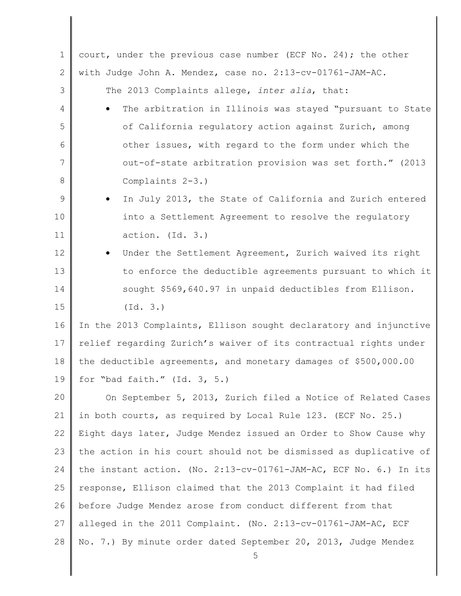| $\mathbf 1$   | court, under the previous case number (ECF No. 24); the other       |
|---------------|---------------------------------------------------------------------|
| $\mathbf{2}$  | with Judge John A. Mendez, case no. 2:13-cv-01761-JAM-AC.           |
| 3             | The 2013 Complaints allege, inter alia, that:                       |
| 4             | The arbitration in Illinois was stayed "pursuant to State           |
| 5             | of California regulatory action against Zurich, among               |
| 6             | other issues, with regard to the form under which the               |
| 7             | out-of-state arbitration provision was set forth." (2013            |
| 8             | Complaints 2-3.)                                                    |
| $\mathcal{G}$ | In July 2013, the State of California and Zurich entered            |
| 10            | into a Settlement Agreement to resolve the regulatory               |
| 11            | action. (Id. 3.)                                                    |
| 12            | Under the Settlement Agreement, Zurich waived its right             |
| 13            | to enforce the deductible agreements pursuant to which it           |
| 14            | sought \$569,640.97 in unpaid deductibles from Ellison.             |
| 15            | (Id. 3.)                                                            |
| 16            | In the 2013 Complaints, Ellison sought declaratory and injunctive   |
| 17            | relief regarding Zurich's waiver of its contractual rights under    |
| 18            | the deductible agreements, and monetary damages of \$500,000.00     |
| 19            | for "bad faith." $(Id. 3, 5.)$                                      |
| 20            | On September 5, 2013, Zurich filed a Notice of Related Cases        |
| 21            | in both courts, as required by Local Rule 123. (ECF No. 25.)        |
| 22            | Eight days later, Judge Mendez issued an Order to Show Cause why    |
| 23            | the action in his court should not be dismissed as duplicative of   |
| 24            | the instant action. (No. 2:13-cv-01761-JAM-AC, ECF No. 6.) In its   |
| 25            | response, Ellison claimed that the 2013 Complaint it had filed      |
| 26            | before Judge Mendez arose from conduct different from that          |
| 27            | alleged in the 2011 Complaint. (No. 2:13-cv-01761-JAM-AC, ECF       |
| 28            | No. 7.) By minute order dated September 20, 2013, Judge Mendez<br>5 |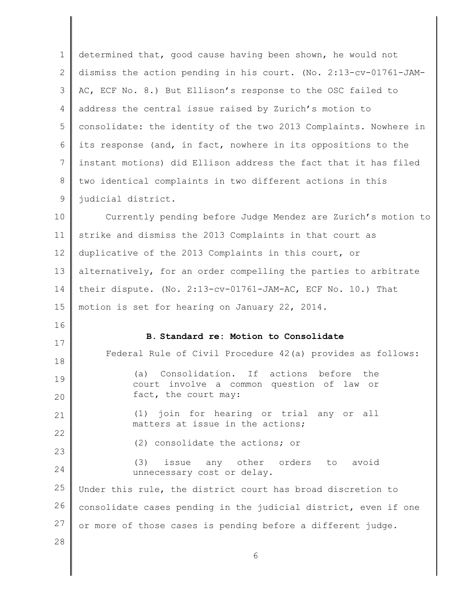| $\mathbf 1$ | determined that, good cause having been shown, he would not                                    |
|-------------|------------------------------------------------------------------------------------------------|
| 2           | dismiss the action pending in his court. (No. 2:13-cv-01761-JAM-                               |
| 3           | AC, ECF No. 8.) But Ellison's response to the OSC failed to                                    |
| 4           | address the central issue raised by Zurich's motion to                                         |
| 5           | consolidate: the identity of the two 2013 Complaints. Nowhere in                               |
| 6           | its response (and, in fact, nowhere in its oppositions to the                                  |
| 7           | instant motions) did Ellison address the fact that it has filed                                |
| 8           | two identical complaints in two different actions in this                                      |
| $\mathsf 9$ | judicial district.                                                                             |
| 10          | Currently pending before Judge Mendez are Zurich's motion to                                   |
| 11          | strike and dismiss the 2013 Complaints in that court as                                        |
| 12          | duplicative of the 2013 Complaints in this court, or                                           |
| 13          | alternatively, for an order compelling the parties to arbitrate                                |
| 14          | their dispute. (No. $2:13-cv-01761-JAM-AC$ , ECF No. 10.) That                                 |
|             |                                                                                                |
| 15          | motion is set for hearing on January 22, 2014.                                                 |
| 16          |                                                                                                |
| 17          | B. Standard re: Motion to Consolidate                                                          |
| 18          | Federal Rule of Civil Procedure 42(a) provides as follows:                                     |
| 19          | Consolidation. If actions before<br>the<br>(a)<br>involve a common question of law or<br>court |
| 20          | fact, the court may:                                                                           |
| 21          | join for hearing or trial any or all<br>(1)<br>matters at issue in the actions;                |
|             |                                                                                                |
| 23          | (2) consolidate the actions; or                                                                |
| 24          | any other<br>(3)<br>issue<br>orders<br>avoid<br>to<br>unnecessary cost or delay.               |
| 25          | Under this rule, the district court has broad discretion to                                    |
| 26          | consolidate cases pending in the judicial district, even if one                                |
| 22<br>27    | or more of those cases is pending before a different judge.                                    |
| 28          | 6                                                                                              |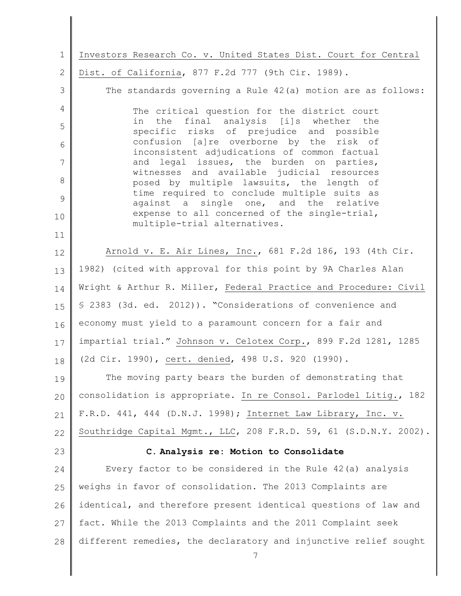1 2 3 4 5 6 7 8 9 10 11 12 13 14 15 16 17 18 19 20 21 22 23 24 25 26 27 28 7 Investors Research Co. v. United States Dist. Court for Central Dist. of California, 877 F.2d 777 (9th Cir. 1989). The standards governing a Rule 42(a) motion are as follows: The critical question for the district court in the final analysis [i]s whether the specific risks of prejudice and possible confusion [a]re overborne by the risk of inconsistent adjudications of common factual and legal issues, the burden on parties, witnesses and available judicial resources posed by multiple lawsuits, the length of time required to conclude multiple suits as against a single one, and the relative expense to all concerned of the single-trial, multiple-trial alternatives. Arnold v. E. Air Lines, Inc., 681 F.2d 186, 193 (4th Cir. 1982) (cited with approval for this point by 9A Charles Alan Wright & Arthur R. Miller, Federal Practice and Procedure: Civil § 2383 (3d. ed. 2012)). "Considerations of convenience and economy must yield to a paramount concern for a fair and impartial trial." Johnson v. Celotex Corp., 899 F.2d 1281, 1285 (2d Cir. 1990), cert. denied, 498 U.S. 920 (1990). The moving party bears the burden of demonstrating that consolidation is appropriate. In re Consol. Parlodel Litig., 182 F.R.D. 441, 444 (D.N.J. 1998); Internet Law Library, Inc. v. Southridge Capital Mgmt., LLC, 208 F.R.D. 59, 61 (S.D.N.Y. 2002). **C. Analysis re: Motion to Consolidate**  Every factor to be considered in the Rule 42(a) analysis weighs in favor of consolidation. The 2013 Complaints are identical, and therefore present identical questions of law and fact. While the 2013 Complaints and the 2011 Complaint seek different remedies, the declaratory and injunctive relief sought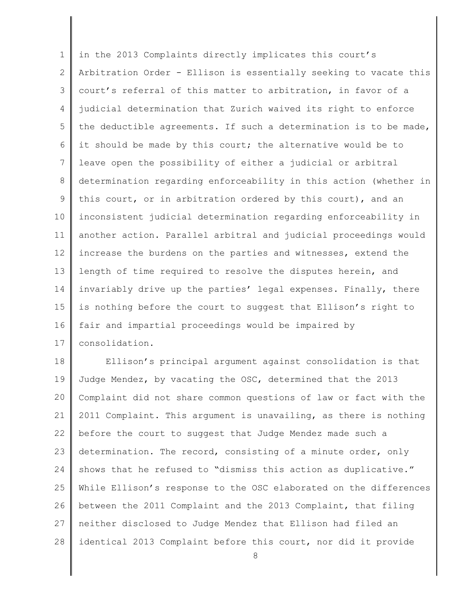1 2 3 4 5 6 7 8 9 10 11 12 13 14 15 16 17 in the 2013 Complaints directly implicates this court's Arbitration Order - Ellison is essentially seeking to vacate this court's referral of this matter to arbitration, in favor of a judicial determination that Zurich waived its right to enforce the deductible agreements. If such a determination is to be made, it should be made by this court; the alternative would be to leave open the possibility of either a judicial or arbitral determination regarding enforceability in this action (whether in this court, or in arbitration ordered by this court), and an inconsistent judicial determination regarding enforceability in another action. Parallel arbitral and judicial proceedings would increase the burdens on the parties and witnesses, extend the length of time required to resolve the disputes herein, and invariably drive up the parties' legal expenses. Finally, there is nothing before the court to suggest that Ellison's right to fair and impartial proceedings would be impaired by consolidation.

18 19 20 21 22 23 24 25 26 27 28 Ellison's principal argument against consolidation is that Judge Mendez, by vacating the OSC, determined that the 2013 Complaint did not share common questions of law or fact with the 2011 Complaint. This argument is unavailing, as there is nothing before the court to suggest that Judge Mendez made such a determination. The record, consisting of a minute order, only shows that he refused to "dismiss this action as duplicative." While Ellison's response to the OSC elaborated on the differences between the 2011 Complaint and the 2013 Complaint, that filing neither disclosed to Judge Mendez that Ellison had filed an identical 2013 Complaint before this court, nor did it provide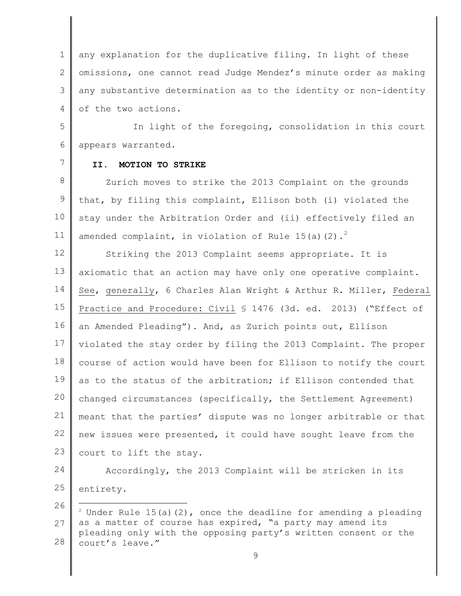1 2 3 4 any explanation for the duplicative filing. In light of these omissions, one cannot read Judge Mendez's minute order as making any substantive determination as to the identity or non-identity of the two actions.

5 6 In light of the foregoing, consolidation in this court appears warranted.

7

## **II. MOTION TO STRIKE**

8 9 10 11 Zurich moves to strike the 2013 Complaint on the grounds that, by filing this complaint, Ellison both (i) violated the stay under the Arbitration Order and (ii) effectively filed an amended complaint, in violation of Rule 15(a)(2).<sup>2</sup>

12 13 14 15 16 17 18 19 20 21 22 23 Striking the 2013 Complaint seems appropriate. It is axiomatic that an action may have only one operative complaint. See, generally, 6 Charles Alan Wright & Arthur R. Miller, Federal Practice and Procedure: Civil § 1476 (3d. ed. 2013) ("Effect of an Amended Pleading"). And, as Zurich points out, Ellison violated the stay order by filing the 2013 Complaint. The proper course of action would have been for Ellison to notify the court as to the status of the arbitration; if Ellison contended that changed circumstances (specifically, the Settlement Agreement) meant that the parties' dispute was no longer arbitrable or that new issues were presented, it could have sought leave from the court to lift the stay.

24 25 Accordingly, the 2013 Complaint will be stricken in its entirety.

<sup>26</sup> 27 28  $2^2$  Under Rule 15(a)(2), once the deadline for amending a pleading as a matter of course has expired, "a party may amend its pleading only with the opposing party's written consent or the court's leave."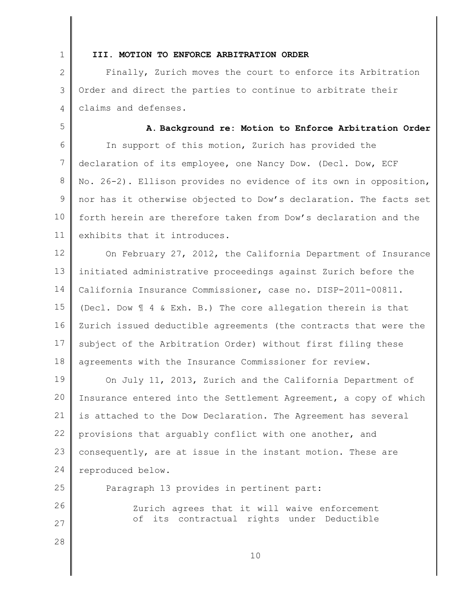1

## **III. MOTION TO ENFORCE ARBITRATION ORDER**

2 3 4 Finally, Zurich moves the court to enforce its Arbitration Order and direct the parties to continue to arbitrate their claims and defenses.

5 6 7 8 9 10 11 **A. Background re: Motion to Enforce Arbitration Order**  In support of this motion, Zurich has provided the declaration of its employee, one Nancy Dow. (Decl. Dow, ECF No. 26-2). Ellison provides no evidence of its own in opposition, nor has it otherwise objected to Dow's declaration. The facts set forth herein are therefore taken from Dow's declaration and the exhibits that it introduces.

12 13 14 15 16 17 18 On February 27, 2012, the California Department of Insurance initiated administrative proceedings against Zurich before the California Insurance Commissioner, case no. DISP-2011-00811. (Decl. Dow ¶ 4 & Exh. B.) The core allegation therein is that Zurich issued deductible agreements (the contracts that were the subject of the Arbitration Order) without first filing these agreements with the Insurance Commissioner for review.

19 20 21 22 23 24 On July 11, 2013, Zurich and the California Department of Insurance entered into the Settlement Agreement, a copy of which is attached to the Dow Declaration. The Agreement has several provisions that arguably conflict with one another, and consequently, are at issue in the instant motion. These are reproduced below.

25 26 27 28 Paragraph 13 provides in pertinent part: Zurich agrees that it will waive enforcement of its contractual rights under Deductible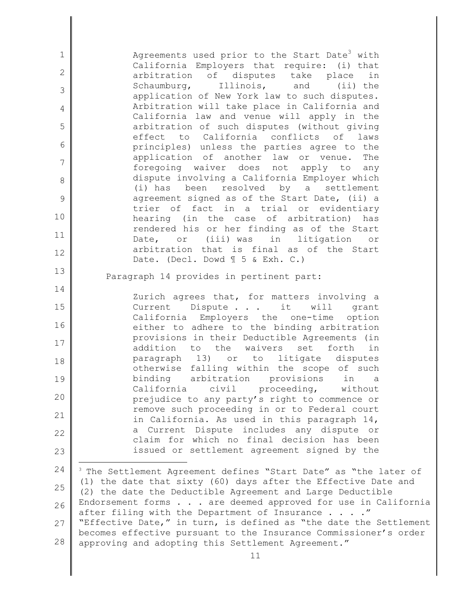1 2 3 4 5 6 7 8 9 10 11 12 13 14 15 16 17 18 19 20 21 22 23 24 25 26 27 28 11 Agreements used prior to the Start Date<sup>3</sup> with California Employers that require: (i) that arbitration of disputes take place in Schaumburg, Illinois, and (ii) the application of New York law to such disputes. Arbitration will take place in California and California law and venue will apply in the arbitration of such disputes (without giving effect to California conflicts of laws principles) unless the parties agree to the application of another law or venue. The foregoing waiver does not apply to any dispute involving a California Employer which (i) has been resolved by a settlement agreement signed as of the Start Date, (ii) a trier of fact in a trial or evidentiary hearing (in the case of arbitration) has rendered his or her finding as of the Start Date, or (iii) was in litigation or arbitration that is final as of the Start Date. (Decl. Dowd  $\mathbb{I}$  5 & Exh. C.) Paragraph 14 provides in pertinent part: Zurich agrees that, for matters involving a Current Dispute . . . it will grant California Employers the one-time option either to adhere to the binding arbitration provisions in their Deductible Agreements (in addition to the waivers set forth in paragraph 13) or to litigate disputes otherwise falling within the scope of such binding arbitration provisions in a California civil proceeding, without prejudice to any party's right to commence or remove such proceeding in or to Federal court in California. As used in this paragraph 14, a Current Dispute includes any dispute or claim for which no final decision has been issued or settlement agreement signed by the <sup>3</sup> The Settlement Agreement defines "Start Date" as "the later of (1) the date that sixty (60) days after the Effective Date and (2) the date the Deductible Agreement and Large Deductible Endorsement forms  $\ldots$  are deemed approved for use in California after filing with the Department of Insurance  $\ldots$ ." "Effective Date," in turn, is defined as "the date the Settlement becomes effective pursuant to the Insurance Commissioner's order approving and adopting this Settlement Agreement."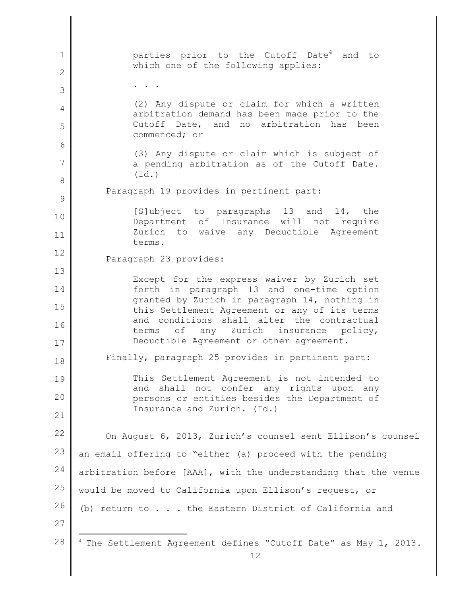1 2 3 4 5 6 7 8 9 10 11 12 13 14 15 16 17 18 19 20 21 22 23 24 25 26 27 28 12 parties prior to the Cutoff Date<sup>4</sup> and to which one of the following applies: . . . (2) Any dispute or claim for which a written arbitration demand has been made prior to the Cutoff Date, and no arbitration has been commenced; or (3) Any dispute or claim which is subject of a pending arbitration as of the Cutoff Date. (Id.) Paragraph 19 provides in pertinent part: [S]ubject to paragraphs 13 and 14, the Department of Insurance will not require Zurich to waive any Deductible Agreement terms. Paragraph 23 provides: Except for the express waiver by Zurich set forth in paragraph 13 and one-time option granted by Zurich in paragraph 14, nothing in this Settlement Agreement or any of its terms and conditions shall alter the contractual terms of any Zurich insurance policy, Deductible Agreement or other agreement. Finally, paragraph 25 provides in pertinent part: This Settlement Agreement is not intended to and shall not confer any rights upon any persons or entities besides the Department of Insurance and Zurich. (Id.) On August 6, 2013, Zurich's counsel sent Ellison's counsel an email offering to "either (a) proceed with the pending arbitration before [AAA], with the understanding that the venue would be moved to California upon Ellison's request, or (b) return to . . . the Eastern District of California and <sup>4</sup> The Settlement Agreement defines "Cutoff Date" as May 1, 2013.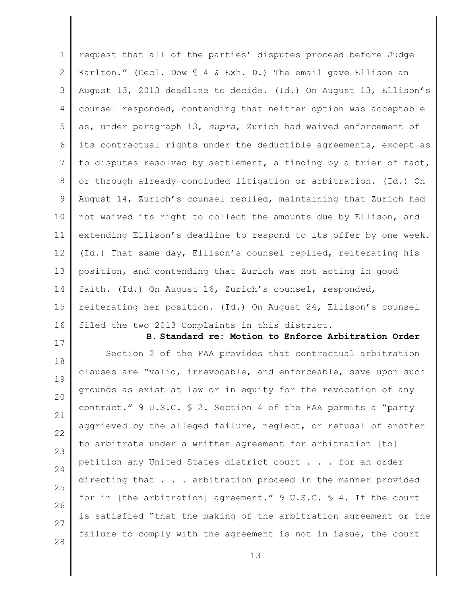1 2 3 4 5 6 7 8 9 10 11 12 13 14 15 16 17 18 19 request that all of the parties' disputes proceed before Judge Karlton." (Decl. Dow ¶ 4 & Exh. D.) The email gave Ellison an August 13, 2013 deadline to decide. (Id.) On August 13, Ellison's counsel responded, contending that neither option was acceptable as, under paragraph 13, *supra*, Zurich had waived enforcement of its contractual rights under the deductible agreements, except as to disputes resolved by settlement, a finding by a trier of fact, or through already-concluded litigation or arbitration. (Id.) On August 14, Zurich's counsel replied, maintaining that Zurich had not waived its right to collect the amounts due by Ellison, and extending Ellison's deadline to respond to its offer by one week. (Id.) That same day, Ellison's counsel replied, reiterating his position, and contending that Zurich was not acting in good faith. (Id.) On August 16, Zurich's counsel, responded, reiterating her position. (Id.) On August 24, Ellison's counsel filed the two 2013 Complaints in this district. **B. Standard re: Motion to Enforce Arbitration Order**  Section 2 of the FAA provides that contractual arbitration clauses are "valid, irrevocable, and enforceable, save upon such grounds as exist at law or in equity for the revocation of any

20 21 22 23 24 25 26 27 28 contract." 9 U.S.C. § 2. Section 4 of the FAA permits a "party aggrieved by the alleged failure, neglect, or refusal of another to arbitrate under a written agreement for arbitration [to] petition any United States district court . . . for an order directing that . . . arbitration proceed in the manner provided for in [the arbitration] agreement." 9 U.S.C. § 4. If the court is satisfied "that the making of the arbitration agreement or the failure to comply with the agreement is not in issue, the court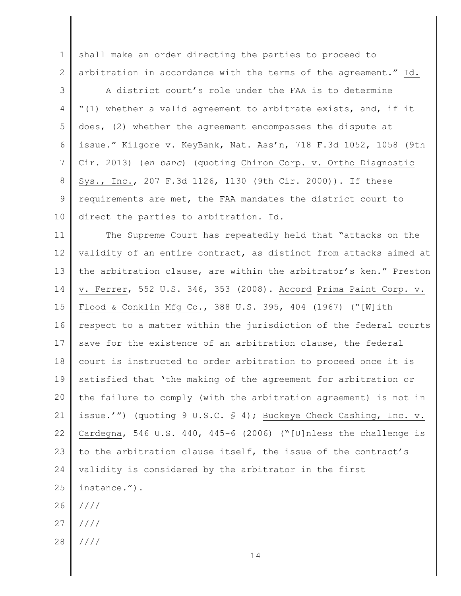1 2 shall make an order directing the parties to proceed to arbitration in accordance with the terms of the agreement." Id.

3 4 5 6 7 8 9 10 A district court's role under the FAA is to determine "(1) whether a valid agreement to arbitrate exists, and, if it does, (2) whether the agreement encompasses the dispute at issue." Kilgore v. KeyBank, Nat. Ass'n, 718 F.3d 1052, 1058 (9th Cir. 2013) (*en banc*) (quoting Chiron Corp. v. Ortho Diagnostic Sys., Inc., 207 F.3d 1126, 1130 (9th Cir. 2000)). If these requirements are met, the FAA mandates the district court to direct the parties to arbitration. Id.

11 12 13 14 15 16 17 18 19 20 21 22 23 24 25 26 The Supreme Court has repeatedly held that "attacks on the validity of an entire contract, as distinct from attacks aimed at the arbitration clause, are within the arbitrator's ken." Preston v. Ferrer, 552 U.S. 346, 353 (2008). Accord Prima Paint Corp. v. Flood & Conklin Mfg Co., 388 U.S. 395, 404 (1967) ("[W]ith respect to a matter within the jurisdiction of the federal courts save for the existence of an arbitration clause, the federal court is instructed to order arbitration to proceed once it is satisfied that 'the making of the agreement for arbitration or the failure to comply (with the arbitration agreement) is not in issue.'") (quoting 9 U.S.C. § 4); Buckeye Check Cashing, Inc. v. Cardegna, 546 U.S. 440, 445-6 (2006) ("[U]nless the challenge is to the arbitration clause itself, the issue of the contract's validity is considered by the arbitrator in the first instance."). ////

- 27 ////
- 28 ////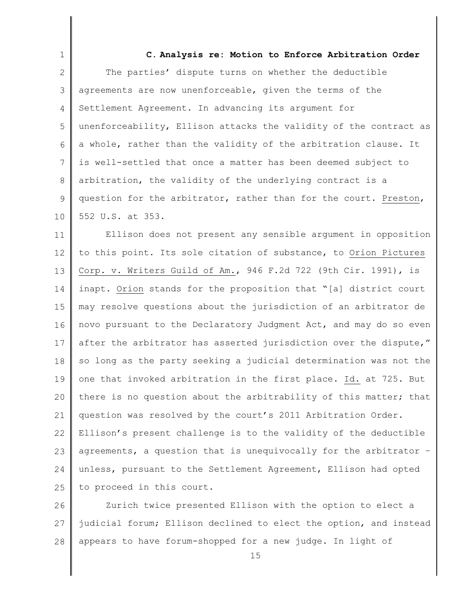1 2 3 4 5 6 7 8 9 10 11 12 13 14 15 16 17 18 19 20 21 22 23 24 25 26 **C. Analysis re: Motion to Enforce Arbitration Order**  The parties' dispute turns on whether the deductible agreements are now unenforceable, given the terms of the Settlement Agreement. In advancing its argument for unenforceability, Ellison attacks the validity of the contract as a whole, rather than the validity of the arbitration clause. It is well-settled that once a matter has been deemed subject to arbitration, the validity of the underlying contract is a question for the arbitrator, rather than for the court. Preston, 552 U.S. at 353. Ellison does not present any sensible argument in opposition to this point. Its sole citation of substance, to Orion Pictures Corp. v. Writers Guild of Am., 946 F.2d 722 (9th Cir. 1991), is inapt. Orion stands for the proposition that "[a] district court may resolve questions about the jurisdiction of an arbitrator de novo pursuant to the Declaratory Judgment Act, and may do so even after the arbitrator has asserted jurisdiction over the dispute," so long as the party seeking a judicial determination was not the one that invoked arbitration in the first place. Id. at 725. But there is no question about the arbitrability of this matter; that question was resolved by the court's 2011 Arbitration Order. Ellison's present challenge is to the validity of the deductible agreements, a question that is unequivocally for the arbitrator – unless, pursuant to the Settlement Agreement, Ellison had opted to proceed in this court. Zurich twice presented Ellison with the option to elect a

27 28 judicial forum; Ellison declined to elect the option, and instead appears to have forum-shopped for a new judge. In light of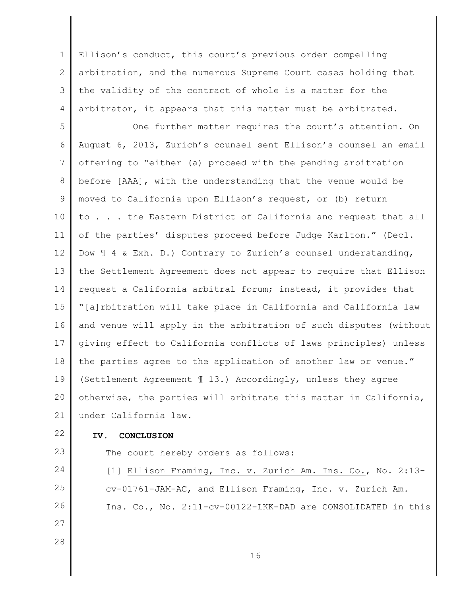1 2 3 4 Ellison's conduct, this court's previous order compelling arbitration, and the numerous Supreme Court cases holding that the validity of the contract of whole is a matter for the arbitrator, it appears that this matter must be arbitrated.

5 6 7 8 9 10 11 12 13 14 15 16 17 18 19 20 21 One further matter requires the court's attention. On August 6, 2013, Zurich's counsel sent Ellison's counsel an email offering to "either (a) proceed with the pending arbitration before [AAA], with the understanding that the venue would be moved to California upon Ellison's request, or (b) return to . . . the Eastern District of California and request that all of the parties' disputes proceed before Judge Karlton." (Decl. Dow  $\text{I}$  4 & Exh. D.) Contrary to Zurich's counsel understanding, the Settlement Agreement does not appear to require that Ellison request a California arbitral forum; instead, it provides that "[a]rbitration will take place in California and California law and venue will apply in the arbitration of such disputes (without giving effect to California conflicts of laws principles) unless the parties agree to the application of another law or venue." (Settlement Agreement ¶ 13.) Accordingly, unless they agree otherwise, the parties will arbitrate this matter in California, under California law.

22

23

24

25

26

27

28

## **IV. CONCLUSION**

The court hereby orders as follows:

[1] Ellison Framing, Inc. v. Zurich Am. Ins. Co., No. 2:13 cv-01761-JAM-AC, and Ellison Framing, Inc. v. Zurich Am. Ins. Co., No. 2:11-cv-00122-LKK-DAD are CONSOLIDATED in this